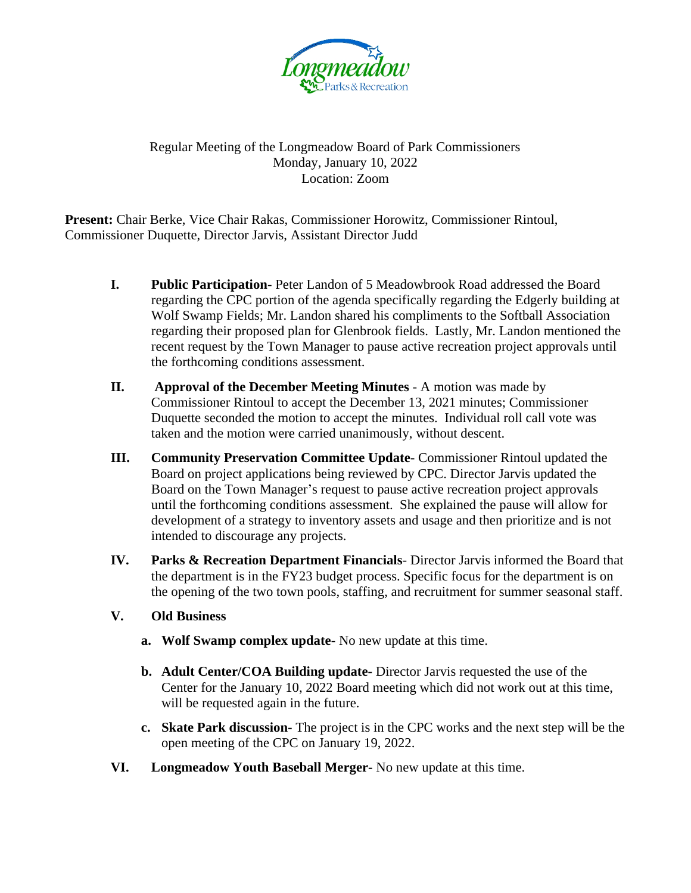

## Regular Meeting of the Longmeadow Board of Park Commissioners Monday, January 10, 2022 Location: Zoom

**Present:** Chair Berke, Vice Chair Rakas, Commissioner Horowitz, Commissioner Rintoul, Commissioner Duquette, Director Jarvis, Assistant Director Judd

- **I. Public Participation** Peter Landon of 5 Meadowbrook Road addressed the Board regarding the CPC portion of the agenda specifically regarding the Edgerly building at Wolf Swamp Fields; Mr. Landon shared his compliments to the Softball Association regarding their proposed plan for Glenbrook fields. Lastly, Mr. Landon mentioned the recent request by the Town Manager to pause active recreation project approvals until the forthcoming conditions assessment.
- **II. Approval of the December Meeting Minutes A motion was made by** Commissioner Rintoul to accept the December 13, 2021 minutes; Commissioner Duquette seconded the motion to accept the minutes. Individual roll call vote was taken and the motion were carried unanimously, without descent.
- **III. Community Preservation Committee Update** Commissioner Rintoul updated the Board on project applications being reviewed by CPC. Director Jarvis updated the Board on the Town Manager's request to pause active recreation project approvals until the forthcoming conditions assessment. She explained the pause will allow for development of a strategy to inventory assets and usage and then prioritize and is not intended to discourage any projects.
- **IV. Parks & Recreation Department Financials** Director Jarvis informed the Board that the department is in the FY23 budget process. Specific focus for the department is on the opening of the two town pools, staffing, and recruitment for summer seasonal staff.
- **V. Old Business**
	- **a. Wolf Swamp complex update** No new update at this time.
	- **b. Adult Center/COA Building update-** Director Jarvis requested the use of the Center for the January 10, 2022 Board meeting which did not work out at this time, will be requested again in the future.
	- **c. Skate Park discussion-** The project is in the CPC works and the next step will be the open meeting of the CPC on January 19, 2022.
- **VI. Longmeadow Youth Baseball Merger-** No new update at this time.